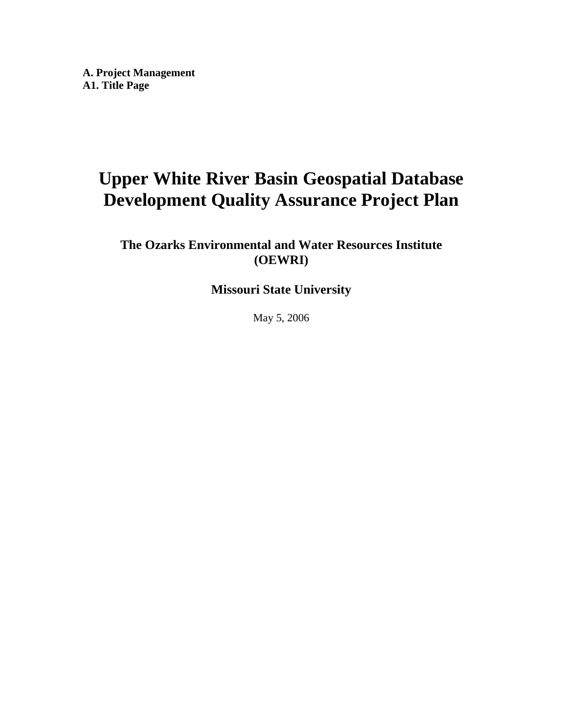**A. Project Management A1. Title Page** 

# **Upper White River Basin Geospatial Database Development Quality Assurance Project Plan**

**The Ozarks Environmental and Water Resources Institute (OEWRI)** 

**Missouri State University** 

May 5, 2006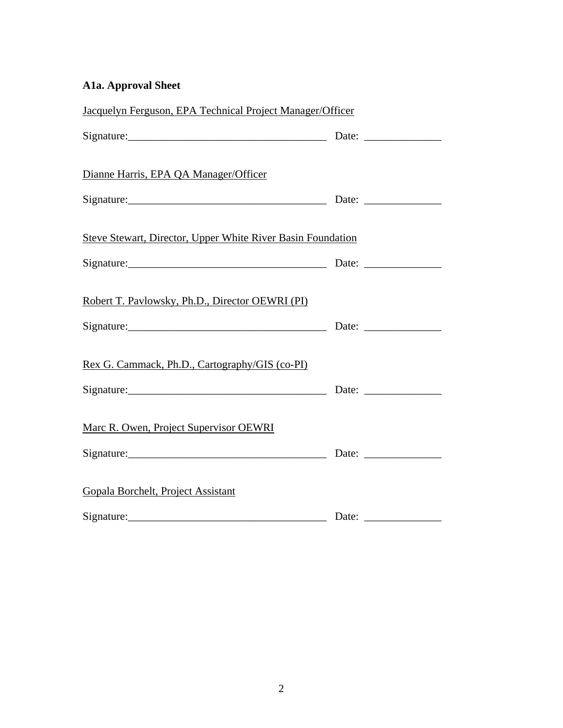## **A1a. Approval Sheet**

| Jacquelyn Ferguson, EPA Technical Project Manager/Officer                                                                                                                                                                                                                                                                   |  |
|-----------------------------------------------------------------------------------------------------------------------------------------------------------------------------------------------------------------------------------------------------------------------------------------------------------------------------|--|
| Signature: Date: Date: Date: Date: 2014                                                                                                                                                                                                                                                                                     |  |
| Dianne Harris, EPA QA Manager/Officer                                                                                                                                                                                                                                                                                       |  |
|                                                                                                                                                                                                                                                                                                                             |  |
| <b>Steve Stewart, Director, Upper White River Basin Foundation</b>                                                                                                                                                                                                                                                          |  |
|                                                                                                                                                                                                                                                                                                                             |  |
| Robert T. Pavlowsky, Ph.D., Director OEWRI (PI)                                                                                                                                                                                                                                                                             |  |
| $Sigma$ : $\frac{1}{2}$ $\frac{1}{2}$ $\frac{1}{2}$ $\frac{1}{2}$ $\frac{1}{2}$ $\frac{1}{2}$ $\frac{1}{2}$ $\frac{1}{2}$ $\frac{1}{2}$ $\frac{1}{2}$ $\frac{1}{2}$ $\frac{1}{2}$ $\frac{1}{2}$ $\frac{1}{2}$ $\frac{1}{2}$ $\frac{1}{2}$ $\frac{1}{2}$ $\frac{1}{2}$ $\frac{1}{2}$ $\frac{1}{2}$ $\frac{1}{2}$ $\frac{1}{$ |  |
| Rex G. Cammack, Ph.D., Cartography/GIS (co-PI)                                                                                                                                                                                                                                                                              |  |
|                                                                                                                                                                                                                                                                                                                             |  |
| Marc R. Owen, Project Supervisor OEWRI                                                                                                                                                                                                                                                                                      |  |
| Signature: Date: Date: Date:                                                                                                                                                                                                                                                                                                |  |
| Gopala Borchelt, Project Assistant                                                                                                                                                                                                                                                                                          |  |
|                                                                                                                                                                                                                                                                                                                             |  |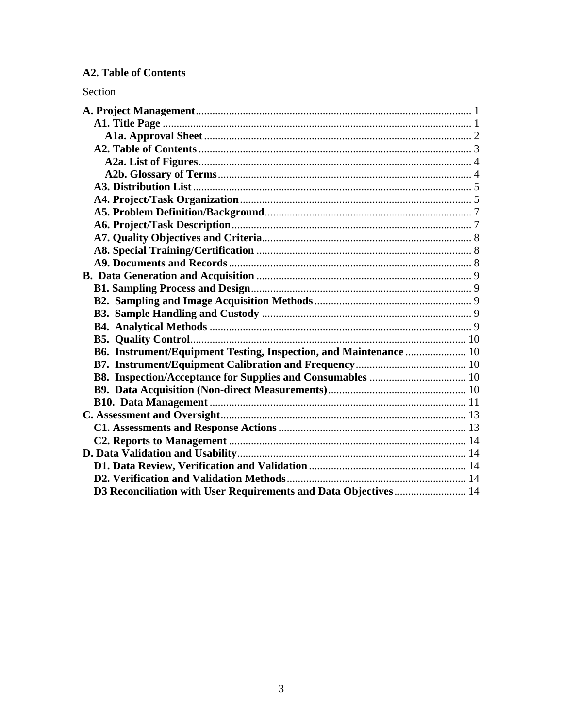## **A2. Table of Contents**

## Section

| B6. Instrument/Equipment Testing, Inspection, and Maintenance  10 |  |
|-------------------------------------------------------------------|--|
|                                                                   |  |
|                                                                   |  |
|                                                                   |  |
|                                                                   |  |
|                                                                   |  |
|                                                                   |  |
|                                                                   |  |
|                                                                   |  |
|                                                                   |  |
|                                                                   |  |
| D3 Reconciliation with User Requirements and Data Objectives  14  |  |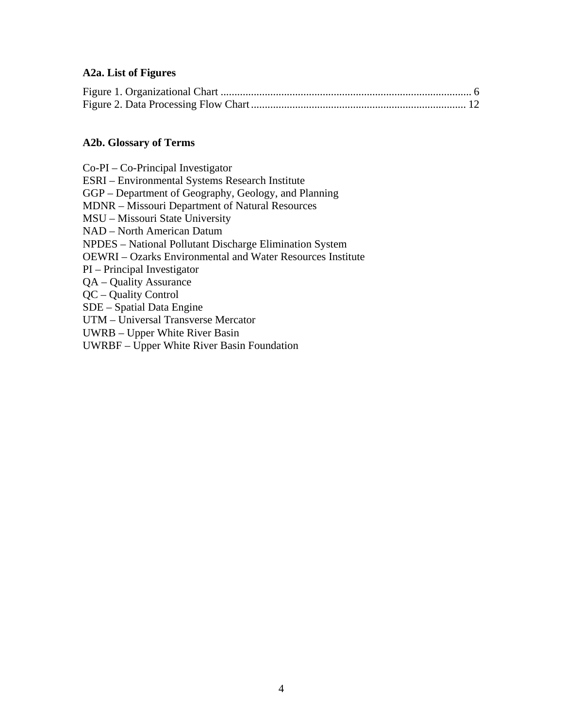#### **A2a. List of Figures**

#### **A2b. Glossary of Terms**

Co-PI – Co-Principal Investigator ESRI – Environmental Systems Research Institute GGP – Department of Geography, Geology, and Planning MDNR – Missouri Department of Natural Resources MSU – Missouri State University NAD – North American Datum NPDES – National Pollutant Discharge Elimination System OEWRI – Ozarks Environmental and Water Resources Institute PI – Principal Investigator QA – Quality Assurance QC – Quality Control SDE – Spatial Data Engine UTM – Universal Transverse Mercator UWRB – Upper White River Basin UWRBF – Upper White River Basin Foundation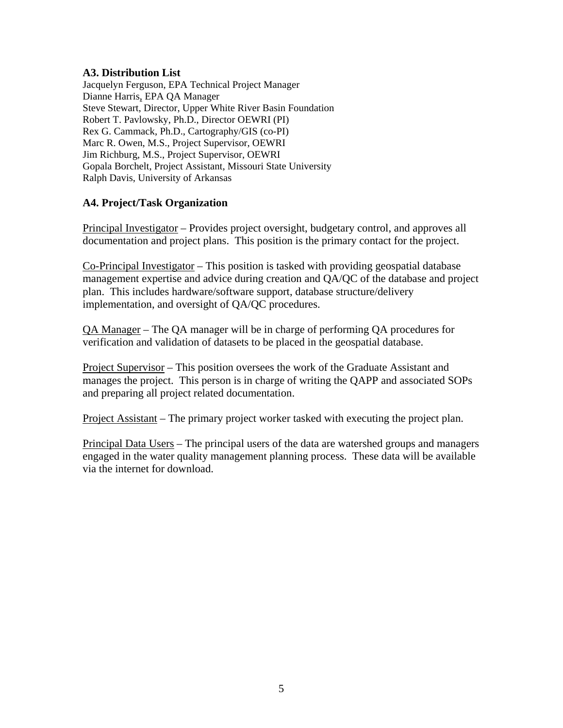#### **A3. Distribution List**

Jacquelyn Ferguson, EPA Technical Project Manager Dianne Harris, EPA QA Manager Steve Stewart, Director, Upper White River Basin Foundation Robert T. Pavlowsky, Ph.D., Director OEWRI (PI) Rex G. Cammack, Ph.D., Cartography/GIS (co-PI) Marc R. Owen, M.S., Project Supervisor, OEWRI Jim Richburg, M.S., Project Supervisor, OEWRI Gopala Borchelt, Project Assistant, Missouri State University Ralph Davis, University of Arkansas

## **A4. Project/Task Organization**

Principal Investigator – Provides project oversight, budgetary control, and approves all documentation and project plans. This position is the primary contact for the project.

Co-Principal Investigator – This position is tasked with providing geospatial database management expertise and advice during creation and QA/QC of the database and project plan. This includes hardware/software support, database structure/delivery implementation, and oversight of QA/QC procedures.

QA Manager – The QA manager will be in charge of performing QA procedures for verification and validation of datasets to be placed in the geospatial database.

Project Supervisor – This position oversees the work of the Graduate Assistant and manages the project. This person is in charge of writing the QAPP and associated SOPs and preparing all project related documentation.

Project Assistant – The primary project worker tasked with executing the project plan.

Principal Data Users – The principal users of the data are watershed groups and managers engaged in the water quality management planning process. These data will be available via the internet for download.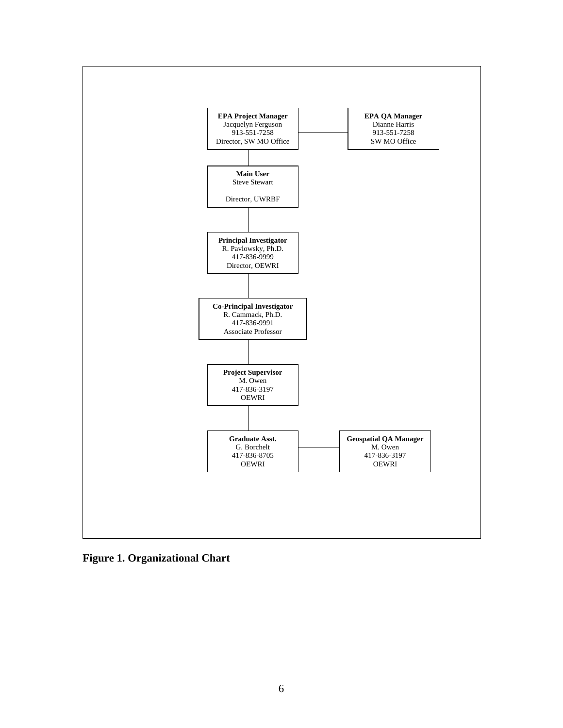

**Figure 1. Organizational Chart**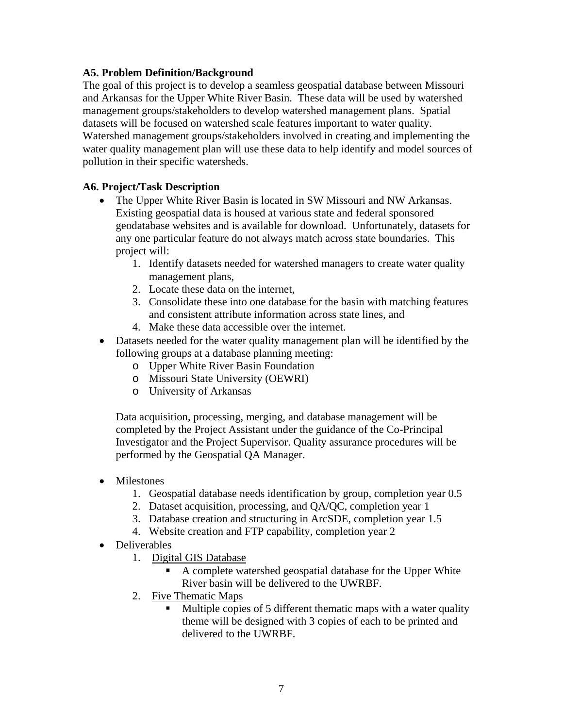#### **A5. Problem Definition/Background**

The goal of this project is to develop a seamless geospatial database between Missouri and Arkansas for the Upper White River Basin. These data will be used by watershed management groups/stakeholders to develop watershed management plans. Spatial datasets will be focused on watershed scale features important to water quality. Watershed management groups/stakeholders involved in creating and implementing the water quality management plan will use these data to help identify and model sources of pollution in their specific watersheds.

## **A6. Project/Task Description**

- The Upper White River Basin is located in SW Missouri and NW Arkansas. Existing geospatial data is housed at various state and federal sponsored geodatabase websites and is available for download. Unfortunately, datasets for any one particular feature do not always match across state boundaries. This project will:
	- 1. Identify datasets needed for watershed managers to create water quality management plans,
	- 2. Locate these data on the internet,
	- 3. Consolidate these into one database for the basin with matching features and consistent attribute information across state lines, and
	- 4. Make these data accessible over the internet.
- Datasets needed for the water quality management plan will be identified by the following groups at a database planning meeting:
	- o Upper White River Basin Foundation
	- o Missouri State University (OEWRI)
	- o University of Arkansas

Data acquisition, processing, merging, and database management will be completed by the Project Assistant under the guidance of the Co-Principal Investigator and the Project Supervisor. Quality assurance procedures will be performed by the Geospatial QA Manager.

- Milestones
	- 1. Geospatial database needs identification by group, completion year 0.5
	- 2. Dataset acquisition, processing, and QA/QC, completion year 1
	- 3. Database creation and structuring in ArcSDE, completion year 1.5
	- 4. Website creation and FTP capability, completion year 2
- Deliverables
	- 1. Digital GIS Database
		- A complete watershed geospatial database for the Upper White River basin will be delivered to the UWRBF.
	- 2. Five Thematic Maps
		- **Multiple copies of 5 different thematic maps with a water quality** theme will be designed with 3 copies of each to be printed and delivered to the UWRBF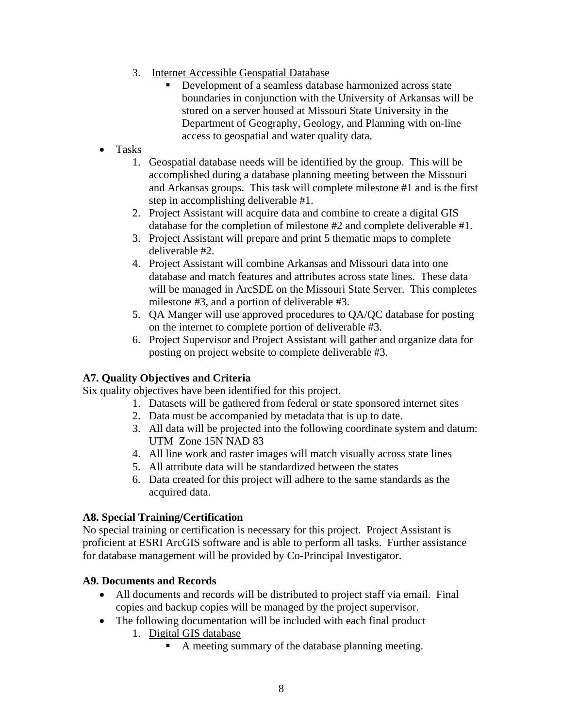- 3. Internet Accessible Geospatial Database
	- Development of a seamless database harmonized across state boundaries in conjunction with the University of Arkansas will be stored on a server housed at Missouri State University in the Department of Geography, Geology, and Planning with on-line access to geospatial and water quality data.
- Tasks
	- 1. Geospatial database needs will be identified by the group. This will be accomplished during a database planning meeting between the Missouri and Arkansas groups. This task will complete milestone #1 and is the first step in accomplishing deliverable #1.
	- 2. Project Assistant will acquire data and combine to create a digital GIS database for the completion of milestone #2 and complete deliverable #1.
	- 3. Project Assistant will prepare and print 5 thematic maps to complete deliverable #2.
	- 4. Project Assistant will combine Arkansas and Missouri data into one database and match features and attributes across state lines. These data will be managed in ArcSDE on the Missouri State Server. This completes milestone #3, and a portion of deliverable #3.
	- 5. QA Manger will use approved procedures to QA/QC database for posting on the internet to complete portion of deliverable #3.
	- 6. Project Supervisor and Project Assistant will gather and organize data for posting on project website to complete deliverable #3.

## **A7. Quality Objectives and Criteria**

Six quality objectives have been identified for this project.

- 1. Datasets will be gathered from federal or state sponsored internet sites
- 2. Data must be accompanied by metadata that is up to date.
- 3. All data will be projected into the following coordinate system and datum: UTM Zone 15N NAD 83
- 4. All line work and raster images will match visually across state lines
- 5. All attribute data will be standardized between the states
- 6. Data created for this project will adhere to the same standards as the acquired data.

## **A8. Special Training/Certification**

No special training or certification is necessary for this project. Project Assistant is proficient at ESRI ArcGIS software and is able to perform all tasks. Further assistance for database management will be provided by Co-Principal Investigator.

## **A9. Documents and Records**

- All documents and records will be distributed to project staff via email. Final copies and backup copies will be managed by the project supervisor.
- The following documentation will be included with each final product
	- 1. Digital GIS database
		- A meeting summary of the database planning meeting.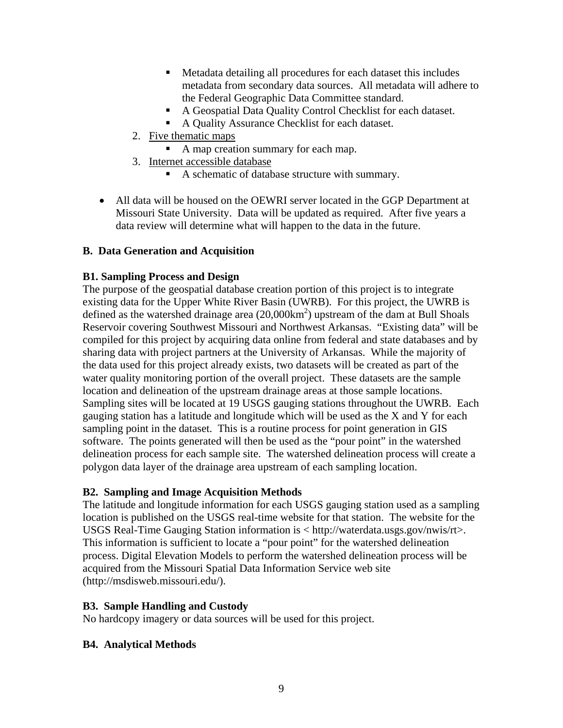- Metadata detailing all procedures for each dataset this includes metadata from secondary data sources. All metadata will adhere to the Federal Geographic Data Committee standard.
- A Geospatial Data Quality Control Checklist for each dataset.
- A Quality Assurance Checklist for each dataset.
- 2. Five thematic maps
	- A map creation summary for each map.
- 3. Internet accessible database
	- A schematic of database structure with summary.
- All data will be housed on the OEWRI server located in the GGP Department at Missouri State University. Data will be updated as required. After five years a data review will determine what will happen to the data in the future.

## **B. Data Generation and Acquisition**

## **B1. Sampling Process and Design**

The purpose of the geospatial database creation portion of this project is to integrate existing data for the Upper White River Basin (UWRB). For this project, the UWRB is defined as the watershed drainage area  $(20,000 \text{km}^2)$  upstream of the dam at Bull Shoals Reservoir covering Southwest Missouri and Northwest Arkansas. "Existing data" will be compiled for this project by acquiring data online from federal and state databases and by sharing data with project partners at the University of Arkansas. While the majority of the data used for this project already exists, two datasets will be created as part of the water quality monitoring portion of the overall project. These datasets are the sample location and delineation of the upstream drainage areas at those sample locations. Sampling sites will be located at 19 USGS gauging stations throughout the UWRB. Each gauging station has a latitude and longitude which will be used as the X and Y for each sampling point in the dataset. This is a routine process for point generation in GIS software. The points generated will then be used as the "pour point" in the watershed delineation process for each sample site. The watershed delineation process will create a polygon data layer of the drainage area upstream of each sampling location.

## **B2. Sampling and Image Acquisition Methods**

The latitude and longitude information for each USGS gauging station used as a sampling location is published on the USGS real-time website for that station. The website for the USGS Real-Time Gauging Station information is < http://waterdata.usgs.gov/nwis/rt>. This information is sufficient to locate a "pour point" for the watershed delineation process. Digital Elevation Models to perform the watershed delineation process will be acquired from the Missouri Spatial Data Information Service web site (http://msdisweb.missouri.edu/).

## **B3. Sample Handling and Custody**

No hardcopy imagery or data sources will be used for this project.

## **B4. Analytical Methods**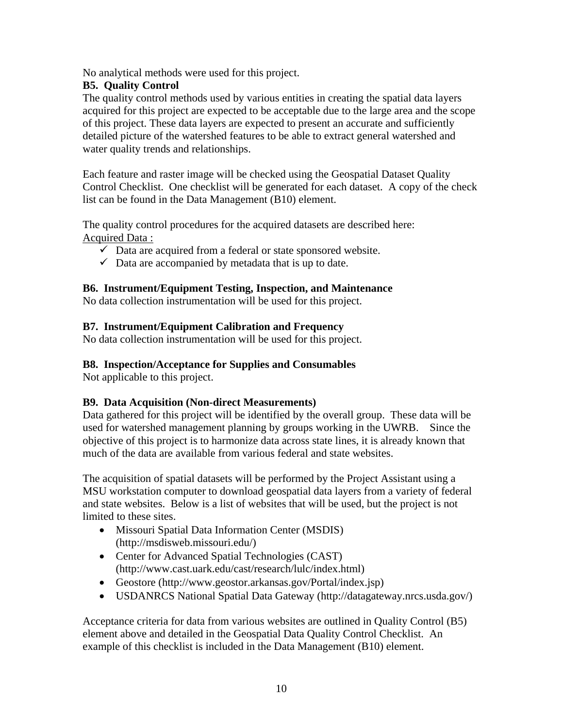No analytical methods were used for this project.

## **B5. Quality Control**

The quality control methods used by various entities in creating the spatial data layers acquired for this project are expected to be acceptable due to the large area and the scope of this project. These data layers are expected to present an accurate and sufficiently detailed picture of the watershed features to be able to extract general watershed and water quality trends and relationships.

Each feature and raster image will be checked using the Geospatial Dataset Quality Control Checklist. One checklist will be generated for each dataset. A copy of the check list can be found in the Data Management (B10) element.

The quality control procedures for the acquired datasets are described here: Acquired Data :

- $\checkmark$  Data are acquired from a federal or state sponsored website.
- $\checkmark$  Data are accompanied by metadata that is up to date.

## **B6. Instrument/Equipment Testing, Inspection, and Maintenance**

No data collection instrumentation will be used for this project.

## **B7. Instrument/Equipment Calibration and Frequency**

No data collection instrumentation will be used for this project.

## **B8. Inspection/Acceptance for Supplies and Consumables**

Not applicable to this project.

## **B9. Data Acquisition (Non-direct Measurements)**

Data gathered for this project will be identified by the overall group. These data will be used for watershed management planning by groups working in the UWRB. Since the objective of this project is to harmonize data across state lines, it is already known that much of the data are available from various federal and state websites.

The acquisition of spatial datasets will be performed by the Project Assistant using a MSU workstation computer to download geospatial data layers from a variety of federal and state websites. Below is a list of websites that will be used, but the project is not limited to these sites.

- Missouri Spatial Data Information Center (MSDIS) (http://msdisweb.missouri.edu/)
- Center for Advanced Spatial Technologies (CAST) (http://www.cast.uark.edu/cast/research/lulc/index.html)
- Geostore (http://www.geostor.arkansas.gov/Portal/index.jsp)
- USDANRCS National Spatial Data Gateway (http://datagateway.nrcs.usda.gov/)

Acceptance criteria for data from various websites are outlined in Quality Control (B5) element above and detailed in the Geospatial Data Quality Control Checklist. An example of this checklist is included in the Data Management (B10) element.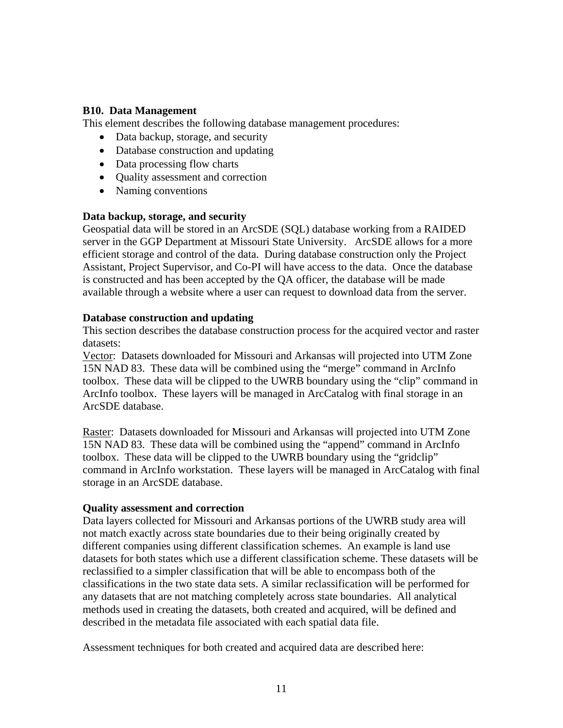#### **B10. Data Management**

This element describes the following database management procedures:

- Data backup, storage, and security
- Database construction and updating
- Data processing flow charts
- Quality assessment and correction
- Naming conventions

#### **Data backup, storage, and security**

Geospatial data will be stored in an ArcSDE (SQL) database working from a RAIDED server in the GGP Department at Missouri State University. ArcSDE allows for a more efficient storage and control of the data. During database construction only the Project Assistant, Project Supervisor, and Co-PI will have access to the data. Once the database is constructed and has been accepted by the QA officer, the database will be made available through a website where a user can request to download data from the server.

#### **Database construction and updating**

This section describes the database construction process for the acquired vector and raster datasets:

Vector: Datasets downloaded for Missouri and Arkansas will projected into UTM Zone 15N NAD 83. These data will be combined using the "merge" command in ArcInfo toolbox. These data will be clipped to the UWRB boundary using the "clip" command in ArcInfo toolbox. These layers will be managed in ArcCatalog with final storage in an ArcSDE database.

Raster: Datasets downloaded for Missouri and Arkansas will projected into UTM Zone 15N NAD 83. These data will be combined using the "append" command in ArcInfo toolbox. These data will be clipped to the UWRB boundary using the "gridclip" command in ArcInfo workstation. These layers will be managed in ArcCatalog with final storage in an ArcSDE database.

#### **Quality assessment and correction**

Data layers collected for Missouri and Arkansas portions of the UWRB study area will not match exactly across state boundaries due to their being originally created by different companies using different classification schemes. An example is land use datasets for both states which use a different classification scheme. These datasets will be reclassified to a simpler classification that will be able to encompass both of the classifications in the two state data sets. A similar reclassification will be performed for any datasets that are not matching completely across state boundaries. All analytical methods used in creating the datasets, both created and acquired, will be defined and described in the metadata file associated with each spatial data file.

Assessment techniques for both created and acquired data are described here: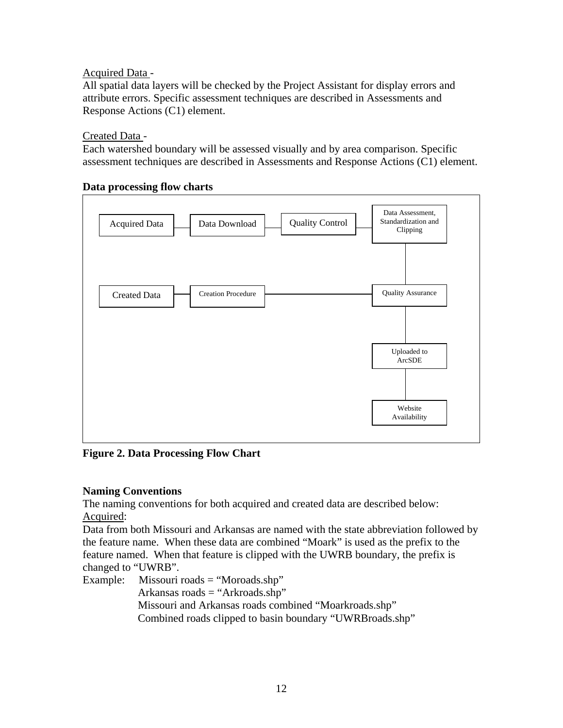Acquired Data -

All spatial data layers will be checked by the Project Assistant for display errors and attribute errors. Specific assessment techniques are described in Assessments and Response Actions (C1) element.

Created Data -

Each watershed boundary will be assessed visually and by area comparison. Specific assessment techniques are described in Assessments and Response Actions (C1) element.

#### **Data processing flow charts**



**Figure 2. Data Processing Flow Chart**

## **Naming Conventions**

The naming conventions for both acquired and created data are described below: Acquired:

Data from both Missouri and Arkansas are named with the state abbreviation followed by the feature name. When these data are combined "Moark" is used as the prefix to the feature named. When that feature is clipped with the UWRB boundary, the prefix is changed to "UWRB".

Example: Missouri roads = "Moroads.shp" Arkansas roads = "Arkroads.shp" Missouri and Arkansas roads combined "Moarkroads.shp" Combined roads clipped to basin boundary "UWRBroads.shp"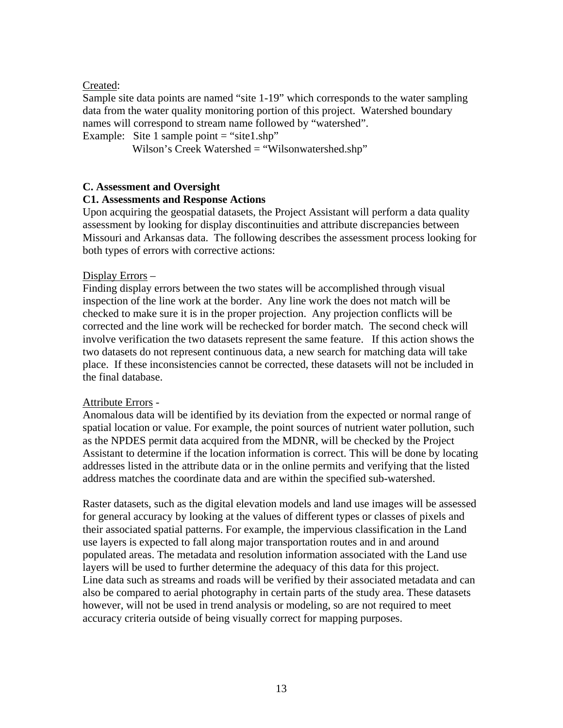#### Created:

Sample site data points are named "site 1-19" which corresponds to the water sampling data from the water quality monitoring portion of this project. Watershed boundary names will correspond to stream name followed by "watershed".

Example: Site 1 sample point  $=$  "site1.shp"

Wilson's Creek Watershed = "Wilsonwatershed.shp"

#### **C. Assessment and Oversight**

#### **C1. Assessments and Response Actions**

Upon acquiring the geospatial datasets, the Project Assistant will perform a data quality assessment by looking for display discontinuities and attribute discrepancies between Missouri and Arkansas data. The following describes the assessment process looking for both types of errors with corrective actions:

#### Display Errors –

Finding display errors between the two states will be accomplished through visual inspection of the line work at the border. Any line work the does not match will be checked to make sure it is in the proper projection. Any projection conflicts will be corrected and the line work will be rechecked for border match. The second check will involve verification the two datasets represent the same feature. If this action shows the two datasets do not represent continuous data, a new search for matching data will take place. If these inconsistencies cannot be corrected, these datasets will not be included in the final database.

#### Attribute Errors -

Anomalous data will be identified by its deviation from the expected or normal range of spatial location or value. For example, the point sources of nutrient water pollution, such as the NPDES permit data acquired from the MDNR, will be checked by the Project Assistant to determine if the location information is correct. This will be done by locating addresses listed in the attribute data or in the online permits and verifying that the listed address matches the coordinate data and are within the specified sub-watershed.

Raster datasets, such as the digital elevation models and land use images will be assessed for general accuracy by looking at the values of different types or classes of pixels and their associated spatial patterns. For example, the impervious classification in the Land use layers is expected to fall along major transportation routes and in and around populated areas. The metadata and resolution information associated with the Land use layers will be used to further determine the adequacy of this data for this project. Line data such as streams and roads will be verified by their associated metadata and can also be compared to aerial photography in certain parts of the study area. These datasets however, will not be used in trend analysis or modeling, so are not required to meet accuracy criteria outside of being visually correct for mapping purposes.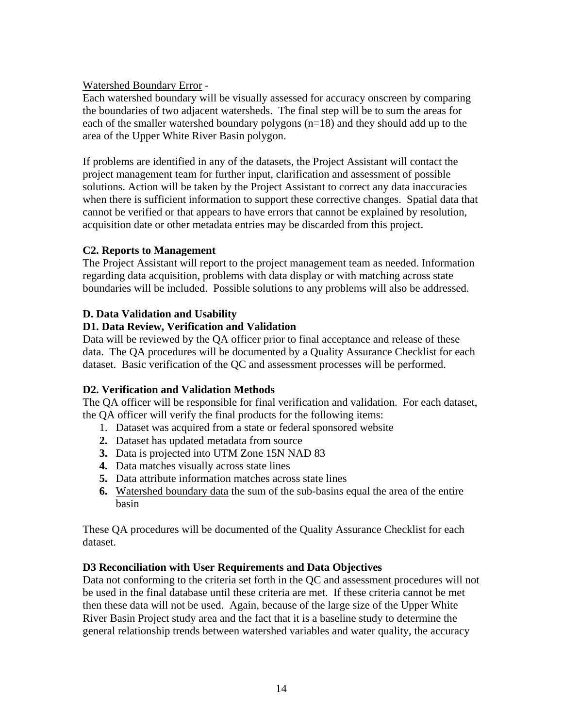Watershed Boundary Error -

Each watershed boundary will be visually assessed for accuracy onscreen by comparing the boundaries of two adjacent watersheds. The final step will be to sum the areas for each of the smaller watershed boundary polygons (n=18) and they should add up to the area of the Upper White River Basin polygon.

If problems are identified in any of the datasets, the Project Assistant will contact the project management team for further input, clarification and assessment of possible solutions. Action will be taken by the Project Assistant to correct any data inaccuracies when there is sufficient information to support these corrective changes. Spatial data that cannot be verified or that appears to have errors that cannot be explained by resolution, acquisition date or other metadata entries may be discarded from this project.

## **C2. Reports to Management**

The Project Assistant will report to the project management team as needed. Information regarding data acquisition, problems with data display or with matching across state boundaries will be included. Possible solutions to any problems will also be addressed.

## **D. Data Validation and Usability**

## **D1. Data Review, Verification and Validation**

Data will be reviewed by the QA officer prior to final acceptance and release of these data. The QA procedures will be documented by a Quality Assurance Checklist for each dataset. Basic verification of the QC and assessment processes will be performed.

## **D2. Verification and Validation Methods**

The QA officer will be responsible for final verification and validation. For each dataset, the QA officer will verify the final products for the following items:

- 1. Dataset was acquired from a state or federal sponsored website
- **2.** Dataset has updated metadata from source
- **3.** Data is projected into UTM Zone 15N NAD 83
- **4.** Data matches visually across state lines
- **5.** Data attribute information matches across state lines
- **6.** Watershed boundary data the sum of the sub-basins equal the area of the entire basin

These QA procedures will be documented of the Quality Assurance Checklist for each dataset.

## **D3 Reconciliation with User Requirements and Data Objectives**

Data not conforming to the criteria set forth in the QC and assessment procedures will not be used in the final database until these criteria are met. If these criteria cannot be met then these data will not be used. Again, because of the large size of the Upper White River Basin Project study area and the fact that it is a baseline study to determine the general relationship trends between watershed variables and water quality, the accuracy